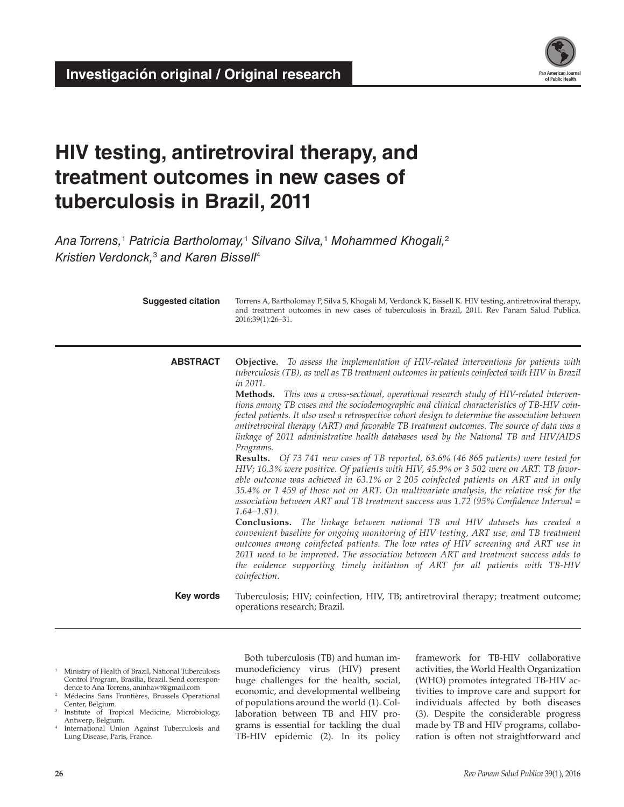

# **HIV testing, antiretroviral therapy, and treatment outcomes in new cases of tuberculosis in Brazil, 2011**

*Ana Torrens,*<sup>1</sup>  *Patricia Bartholomay,*<sup>1</sup>  *Silvano Silva,*<sup>1</sup>  *Mohammed Khogali,*<sup>2</sup> *Kristien Verdonck,*<sup>3</sup>  *and Karen Bissell*<sup>4</sup>

| <b>Suggested citation</b> | Torrens A, Bartholomay P, Silva S, Khogali M, Verdonck K, Bissell K. HIV testing, antiretroviral therapy,<br>and treatment outcomes in new cases of tuberculosis in Brazil, 2011. Rev Panam Salud Publica.<br>2016;39(1):26-31.                                                                                                                                                                                                                                                                                                                                                                                                                                                                                                                                                                                                                                                                                                                                                                                                                                                                                                                                                                                                                                                                                                                                                                                                                                                                                                                                                                                                                       |
|---------------------------|-------------------------------------------------------------------------------------------------------------------------------------------------------------------------------------------------------------------------------------------------------------------------------------------------------------------------------------------------------------------------------------------------------------------------------------------------------------------------------------------------------------------------------------------------------------------------------------------------------------------------------------------------------------------------------------------------------------------------------------------------------------------------------------------------------------------------------------------------------------------------------------------------------------------------------------------------------------------------------------------------------------------------------------------------------------------------------------------------------------------------------------------------------------------------------------------------------------------------------------------------------------------------------------------------------------------------------------------------------------------------------------------------------------------------------------------------------------------------------------------------------------------------------------------------------------------------------------------------------------------------------------------------------|
| <b>ABSTRACT</b>           | Objective. To assess the implementation of HIV-related interventions for patients with<br>tuberculosis (TB), as well as TB treatment outcomes in patients coinfected with HIV in Brazil<br>in 2011.<br>Methods. This was a cross-sectional, operational research study of HIV-related interven-<br>tions among TB cases and the sociodemographic and clinical characteristics of TB-HIV coin-<br>fected patients. It also used a retrospective cohort design to determine the association between<br>antiretroviral therapy (ART) and favorable TB treatment outcomes. The source of data was a<br>linkage of 2011 administrative health databases used by the National TB and HIV/AIDS<br>Programs.<br><b>Results.</b> Of 73 741 new cases of TB reported, 63.6% (46 865 patients) were tested for<br>HIV; 10.3% were positive. Of patients with HIV, 45.9% or 3 502 were on ART. TB favor-<br>able outcome was achieved in 63.1% or 2 205 coinfected patients on ART and in only<br>35.4% or 1 459 of those not on ART. On multivariate analysis, the relative risk for the<br>association between ART and TB treatment success was 1.72 (95% Confidence Interval $=$<br>$1.64 - 1.81$ .<br><b>Conclusions.</b> The linkage between national TB and HIV datasets has created a<br>convenient baseline for ongoing monitoring of HIV testing, ART use, and TB treatment<br>outcomes among coinfected patients. The low rates of HIV screening and ART use in<br>2011 need to be improved. The association between ART and treatment success adds to<br>the evidence supporting timely initiation of ART for all patients with TB-HIV<br>coinfection. |
| Key words                 | Tuberculosis; HIV; coinfection, HIV, TB; antiretroviral therapy; treatment outcome;<br>operations research; Brazil.                                                                                                                                                                                                                                                                                                                                                                                                                                                                                                                                                                                                                                                                                                                                                                                                                                                                                                                                                                                                                                                                                                                                                                                                                                                                                                                                                                                                                                                                                                                                   |

- <sup>1</sup> Ministry of Health of Brazil, National Tuberculosis Control Program, Brasília, Brazil. Send correspondence to Ana Torrens, [aninhawt@gmail.com](mailto:aninhawt@gmail.com)
- <sup>2</sup> Médecins Sans Frontières, Brussels Operational Center, Belgium.
- <sup>3</sup> Institute of Tropical Medicine, Microbiology, Antwerp, Belgium.
- International Union Against Tuberculosis and Lung Disease, Paris, France.

Both tuberculosis (TB) and human immunodeficiency virus (HIV) present huge challenges for the health, social, economic, and developmental wellbeing of populations around the world (1). Collaboration between TB and HIV programs is essential for tackling the dual TB-HIV epidemic (2). In its policy

framework for TB-HIV collaborative activities, the World Health Organization (WHO) promotes integrated TB-HIV activities to improve care and support for individuals affected by both diseases (3). Despite the considerable progress made by TB and HIV programs, collaboration is often not straightforward and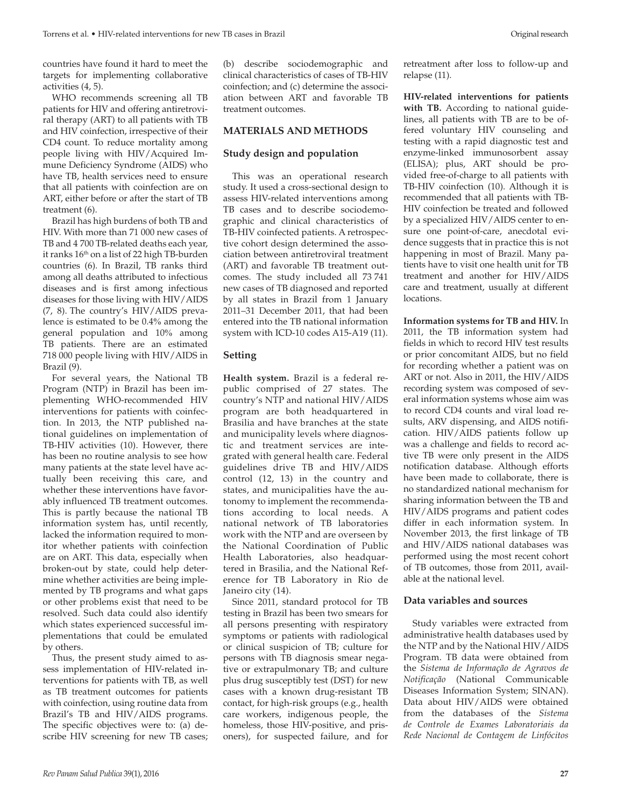countries have found it hard to meet the targets for implementing collaborative activities (4, 5).

WHO recommends screening all TB patients for HIV and offering antiretroviral therapy (ART) to all patients with TB and HIV coinfection, irrespective of their CD4 count. To reduce mortality among people living with HIV/Acquired Immune Deficiency Syndrome (AIDS) who have TB, health services need to ensure that all patients with coinfection are on ART, either before or after the start of TB treatment (6).

Brazil has high burdens of both TB and HIV. With more than 71 000 new cases of TB and 4 700 TB-related deaths each year, it ranks  $16<sup>th</sup>$  on a list of 22 high TB-burden countries (6). In Brazil, TB ranks third among all deaths attributed to infectious diseases and is first among infectious diseases for those living with HIV/AIDS (7, 8). The country's HIV/AIDS prevalence is estimated to be 0.4% among the general population and 10% among TB patients. There are an estimated 718 000 people living with HIV/AIDS in Brazil (9).

For several years, the National TB Program (NTP) in Brazil has been implementing WHO-recommended HIV interventions for patients with coinfection. In 2013, the NTP published national guidelines on implementation of TB-HIV activities (10). However, there has been no routine analysis to see how many patients at the state level have actually been receiving this care, and whether these interventions have favorably influenced TB treatment outcomes. This is partly because the national TB information system has, until recently, lacked the information required to monitor whether patients with coinfection are on ART. This data, especially when broken-out by state, could help determine whether activities are being implemented by TB programs and what gaps or other problems exist that need to be resolved. Such data could also identify which states experienced successful implementations that could be emulated by others.

Thus, the present study aimed to assess implementation of HIV-related interventions for patients with TB, as well as TB treatment outcomes for patients with coinfection, using routine data from Brazil's TB and HIV/AIDS programs. The specific objectives were to: (a) describe HIV screening for new TB cases;

(b) describe sociodemographic and clinical characteristics of cases of TB-HIV coinfection; and (c) determine the association between ART and favorable TB treatment outcomes.

#### **MATERIALS AND METHODS**

#### **Study design and population**

This was an operational research study. It used a cross-sectional design to assess HIV-related interventions among TB cases and to describe sociodemographic and clinical characteristics of TB-HIV coinfected patients. A retrospective cohort design determined the association between antiretroviral treatment (ART) and favorable TB treatment outcomes. The study included all 73 741 new cases of TB diagnosed and reported by all states in Brazil from 1 January 2011–31 December 2011, that had been entered into the TB national information system with ICD-10 codes A15-A19 (11).

### **Setting**

**Health system.** Brazil is a federal republic comprised of 27 states. The country's NTP and national HIV/AIDS program are both headquartered in Brasilia and have branches at the state and municipality levels where diagnostic and treatment services are integrated with general health care. Federal guidelines drive TB and HIV/AIDS control (12, 13) in the country and states, and municipalities have the autonomy to implement the recommendations according to local needs. A national network of TB laboratories work with the NTP and are overseen by the National Coordination of Public Health Laboratories, also headquartered in Brasilia, and the National Reference for TB Laboratory in Rio de Janeiro city (14).

Since 2011, standard protocol for TB testing in Brazil has been two smears for all persons presenting with respiratory symptoms or patients with radiological or clinical suspicion of TB; culture for persons with TB diagnosis smear negative or extrapulmonary TB; and culture plus drug susceptibly test (DST) for new cases with a known drug-resistant TB contact, for high-risk groups (e.g., health care workers, indigenous people, the homeless, those HIV-positive, and prisoners), for suspected failure, and for

retreatment after loss to follow-up and relapse (11).

**HIV-related interventions for patients with TB.** According to national guidelines, all patients with TB are to be offered voluntary HIV counseling and testing with a rapid diagnostic test and enzyme-linked immunosorbent assay (ELISA); plus, ART should be provided free-of-charge to all patients with TB-HIV coinfection (10). Although it is recommended that all patients with TB-HIV coinfection be treated and followed by a specialized HIV/AIDS center to ensure one point-of-care, anecdotal evidence suggests that in practice this is not happening in most of Brazil. Many patients have to visit one health unit for TB treatment and another for HIV/AIDS care and treatment, usually at different locations.

**Information systems for TB and HIV.** In 2011, the TB information system had fields in which to record HIV test results or prior concomitant AIDS, but no field for recording whether a patient was on ART or not. Also in 2011, the HIV/AIDS recording system was composed of several information systems whose aim was to record CD4 counts and viral load results, ARV dispensing, and AIDS notification. HIV/AIDS patients follow up was a challenge and fields to record active TB were only present in the AIDS notification database. Although efforts have been made to collaborate, there is no standardized national mechanism for sharing information between the TB and HIV/AIDS programs and patient codes differ in each information system. In November 2013, the first linkage of TB and HIV/AIDS national databases was performed using the most recent cohort of TB outcomes, those from 2011, available at the national level.

#### **Data variables and sources**

Study variables were extracted from administrative health databases used by the NTP and by the National HIV/AIDS Program. TB data were obtained from the *Sistema de Informação de Agravos de Notificação* (National Communicable Diseases Information System; SINAN). Data about HIV/AIDS were obtained from the databases of the *Sistema de Controle de Exames Laboratoriais da Rede Nacional de Contagem de Linfócitos*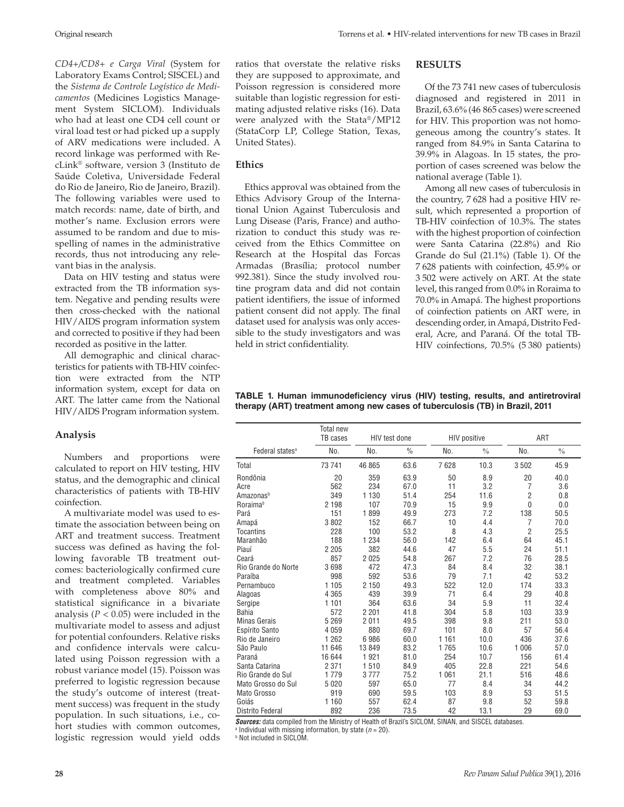*CD4+/CD8+ e Carga Viral* (System for Laboratory Exams Control; SISCEL) and the *Sistema de Controle Logístico de Medicamentos* (Medicines Logistics Management System SICLOM). Individuals who had at least one CD4 cell count or viral load test or had picked up a supply of ARV medications were included. A record linkage was performed with RecLink® software, version 3 (Instituto de Saúde Coletiva, Universidade Federal do Rio de Janeiro, Rio de Janeiro, Brazil). The following variables were used to match records: name, date of birth, and mother's name. Exclusion errors were assumed to be random and due to misspelling of names in the administrative records, thus not introducing any relevant bias in the analysis.

Data on HIV testing and status were extracted from the TB information system. Negative and pending results were then cross-checked with the national HIV/AIDS program information system and corrected to positive if they had been recorded as positive in the latter.

All demographic and clinical characteristics for patients with TB-HIV coinfection were extracted from the NTP information system, except for data on ART. The latter came from the National HIV/AIDS Program information system.

### **Analysis**

Numbers and proportions were calculated to report on HIV testing, HIV status, and the demographic and clinical characteristics of patients with TB-HIV coinfection.

A multivariate model was used to estimate the association between being on ART and treatment success. Treatment success was defined as having the following favorable TB treatment outcomes: bacteriologically confirmed cure and treatment completed. Variables with completeness above 80% and statistical significance in a bivariate analysis ( $P < 0.05$ ) were included in the multivariate model to assess and adjust for potential confounders. Relative risks and confidence intervals were calculated using Poisson regression with a robust variance model (15). Poisson was preferred to logistic regression because the study's outcome of interest (treatment success) was frequent in the study population. In such situations, i.e., cohort studies with common outcomes, logistic regression would yield odds

ratios that overstate the relative risks they are supposed to approximate, and Poisson regression is considered more suitable than logistic regression for estimating adjusted relative risks (16). Data were analyzed with the Stata®/MP12 (StataCorp LP, College Station, Texas, United States).

## **Ethics**

Ethics approval was obtained from the Ethics Advisory Group of the International Union Against Tuberculosis and Lung Disease (Paris, France) and authorization to conduct this study was received from the Ethics Committee on Research at the Hospital das Forcas Armadas (Brasília; protocol number 992.381). Since the study involved routine program data and did not contain patient identifiers, the issue of informed patient consent did not apply. The final dataset used for analysis was only accessible to the study investigators and was held in strict confidentiality.

#### **RESULTS**

Of the 73 741 new cases of tuberculosis diagnosed and registered in 2011 in Brazil, 63.6% (46 865 cases) were screened for HIV. This proportion was not homogeneous among the country's states. It ranged from 84.9% in Santa Catarina to 39.9% in Alagoas. In 15 states, the proportion of cases screened was below the national average (Table 1).

Among all new cases of tuberculosis in the country, 7 628 had a positive HIV result, which represented a proportion of TB-HIV coinfection of 10.3%. The states with the highest proportion of coinfection were Santa Catarina (22.8%) and Rio Grande do Sul (21.1%) (Table 1). Of the 7 628 patients with coinfection, 45.9% or 3 502 were actively on ART. At the state level, this ranged from 0.0% in Roraima to 70.0% in Amapá. The highest proportions of coinfection patients on ART were, in descending order, in Amapá, Distrito Federal, Acre, and Paraná. Of the total TB-HIV coinfections, 70.5% (5 380 patients)

**TABLE 1. Human immunodeficiency virus (HIV) testing, results, and antiretroviral therapy (ART) treatment among new cases of tuberculosis (TB) in Brazil, 2011**

|                                                      | Total new<br>TB cases              | HIV test done                                |               | <b>HIV positive</b>                                                                              |                        | ART            |               |
|------------------------------------------------------|------------------------------------|----------------------------------------------|---------------|--------------------------------------------------------------------------------------------------|------------------------|----------------|---------------|
| Federal states <sup>a</sup>                          | No.                                | No.                                          | $\frac{0}{0}$ | No.                                                                                              | $\frac{0}{0}$          | No.            | $\frac{0}{0}$ |
| Total                                                | 73 741                             | 46 865                                       | 63.6          | 7628                                                                                             | 10.3                   | 3502           | 45.9          |
| Rondônia                                             | 20                                 | 359                                          | 63.9          | 50                                                                                               | 8.9                    | 20             | 40.0          |
| Acre                                                 | 562                                | 234                                          | 67.0          | 11                                                                                               | 3.2                    | 7              | 3.6           |
| Amazonas <sup>b</sup>                                | 349                                | 1 1 3 0                                      | 51.4          | 254                                                                                              | 11.6                   | $\overline{2}$ | 0.8           |
| <b>Roraima</b> <sup>b</sup>                          | 2 1 9 8                            | 107                                          | 70.9          | 15                                                                                               | 9.9                    | $\overline{0}$ | 0.0           |
| Pará                                                 | 151                                | 1899                                         | 49.9          | 273                                                                                              | 7.2                    | 138            | 50.5          |
| Amapá                                                | 3802                               | 152                                          | 66.7          | 10                                                                                               | 4.4                    | 7              | 70.0          |
| <b>Tocantins</b>                                     | 228                                | 100                                          | 53.2          | 8                                                                                                | 4.3                    | $\overline{2}$ | 25.5          |
| Maranhão                                             | 188                                | 1 2 3 4                                      | 56.0          | 142                                                                                              | 6.4                    | 64             | 45.1          |
| Piauí                                                | 2 2 0 5                            | 382                                          | 44.6          | 47                                                                                               | 5.5                    | 24             | 51.1          |
| Ceará                                                | 857                                | 2 0 2 5                                      | 54.8          | 267                                                                                              | 7.2                    | 76             | 28.5          |
| Rio Grande do Norte                                  | 3698                               | 472                                          | 47.3          | 84                                                                                               | 8.4                    | 32             | 38.1          |
| Paraíba                                              | 998                                | 592                                          | 53.6          | 79                                                                                               | 7.1                    | 42             | 53.2          |
| Pernambuco                                           | 1 1 0 5                            | 2 1 5 0                                      | 49.3          | 522                                                                                              | 12.0                   | 174            | 33.3          |
| Alagoas                                              | 4 3 6 5                            | 439                                          | 39.9          | 71                                                                                               | 6.4                    | 29             | 40.8          |
| Sergipe                                              | 1 1 0 1                            | 364                                          | 63.6          | 34                                                                                               | 5.9                    | 11             | 32.4          |
| <b>Bahia</b>                                         | 572                                | 2 2 0 1                                      | 41.8          | 304                                                                                              | 5.8                    | 103            | 33.9          |
| <b>Minas Gerais</b>                                  | 5 2 6 9                            | 2011                                         | 49.5          | 398                                                                                              | 9.8                    | 211            | 53.0          |
| Espírito Santo                                       | 4 0 5 9                            | 880                                          | 69.7          | 101                                                                                              | 8.0                    | 57             | 56.4          |
| Rio de Janeiro                                       | 1 2 6 2                            | 6986                                         | 60.0          | 1 1 6 1                                                                                          | 10.0                   | 436            | 37.6          |
| São Paulo                                            | 11 646                             | 13849                                        | 83.2          | 1765                                                                                             | 10.6                   | 1 0 0 6        | 57.0          |
| Paraná                                               | 16 644                             | 1921                                         | 81.0          | 254                                                                                              | 10.7                   | 156            | 61.4          |
| Santa Catarina                                       | 2 3 7 1                            | 1510                                         | 84.9          | 405                                                                                              | 22.8                   | 221            | 54.6          |
| Rio Grande do Sul                                    | 1779                               | 3777                                         | 75.2          | 1 0 6 1                                                                                          | 21.1                   | 516            | 48.6          |
| Mato Grosso do Sul                                   | 5 0 20                             | 597                                          | 65.0          | 77                                                                                               | 8.4                    | 34             | 44.2          |
| Mato Grosso                                          | 919                                | 690                                          | 59.5          | 103                                                                                              | 8.9                    | 53             | 51.5          |
| Goiás                                                | 1 1 6 0                            | 557                                          | 62.4          | 87                                                                                               | 9.8                    | 52             | 59.8          |
| <b>Distrito Federal</b><br>المحاوية والمتحالة والأنب | 892<br>Alley Address and the Alley | 236<br>$-0.0011 - 0.001$<br>$\cdot$ f $\sim$ | 73.5          | 42<br>$\mathbf{m}$ $\mathbf{m}$ $\mathbf{m}$ $\mathbf{m}$ $\mathbf{m}$ $\mathbf{m}$ $\mathbf{m}$ | 13.1<br>$100001 + 111$ | 29             | 69.0          |

**Sources:** data compiled from the Ministry of Health of Brazil's SICLOM, SINAN, and SISCEL databases.

<sup>a</sup> Individual with missing information, by state (*n* = 20).<br><sup>b</sup> Not included in SICLOM

**b** Not included in SICLOM.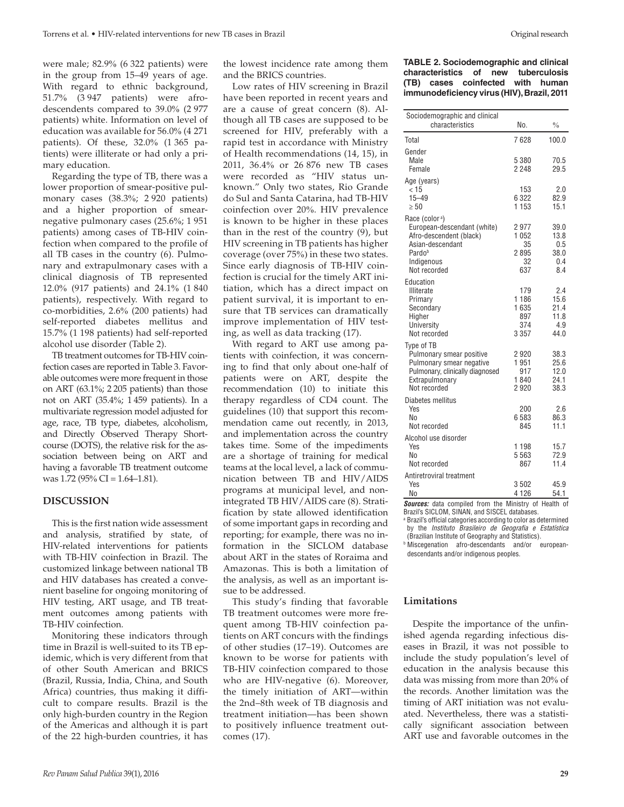were male; 82.9% (6 322 patients) were in the group from 15–49 years of age. With regard to ethnic background, 51.7% (3 947 patients) were afrodescendents compared to 39.0% (2 977 patients) white. Information on level of education was available for 56.0% (4 271 patients). Of these, 32.0% (1 365 patients) were illiterate or had only a primary education.

Regarding the type of TB, there was a lower proportion of smear-positive pulmonary cases (38.3%; 2 920 patients) and a higher proportion of smearnegative pulmonary cases (25.6%; 1 951 patients) among cases of TB-HIV coinfection when compared to the profile of all TB cases in the country (6). Pulmonary and extrapulmonary cases with a clinical diagnosis of TB represented 12.0% (917 patients) and 24.1% (1 840 patients), respectively. With regard to co-morbidities, 2.6% (200 patients) had self-reported diabetes mellitus and 15.7% (1 198 patients) had self-reported alcohol use disorder (Table 2).

TB treatment outcomes for TB-HIV coinfection cases are reported in Table 3. Favorable outcomes were more frequent in those on ART (63.1%; 2 205 patients) than those not on ART (35.4%; 1 459 patients). In a multivariate regression model adjusted for age, race, TB type, diabetes, alcoholism, and Directly Observed Therapy Shortcourse (DOTS), the relative risk for the association between being on ART and having a favorable TB treatment outcome was 1.72 (95% CI = 1.64–1.81).

#### **DISCUSSION**

This is the first nation wide assessment and analysis, stratified by state, of HIV-related interventions for patients with TB-HIV coinfection in Brazil. The customized linkage between national TB and HIV databases has created a convenient baseline for ongoing monitoring of HIV testing, ART usage, and TB treatment outcomes among patients with TB-HIV coinfection.

Monitoring these indicators through time in Brazil is well-suited to its TB epidemic, which is very different from that of other South American and BRICS (Brazil, Russia, India, China, and South Africa) countries, thus making it difficult to compare results. Brazil is the only high-burden country in the Region of the Americas and although it is part of the 22 high-burden countries, it has

the lowest incidence rate among them and the BRICS countries.

Low rates of HIV screening in Brazil have been reported in recent years and are a cause of great concern (8). Although all TB cases are supposed to be screened for HIV, preferably with a rapid test in accordance with Ministry of Health recommendations (14, 15), in 2011, 36.4% or 26 876 new TB cases were recorded as "HIV status unknown." Only two states, Rio Grande do Sul and Santa Catarina, had TB-HIV coinfection over 20%. HIV prevalence is known to be higher in these places than in the rest of the country (9), but HIV screening in TB patients has higher coverage (over 75%) in these two states. Since early diagnosis of TB-HIV coinfection is crucial for the timely ART initiation, which has a direct impact on patient survival, it is important to ensure that TB services can dramatically improve implementation of HIV testing, as well as data tracking (17).

With regard to ART use among patients with coinfection, it was concerning to find that only about one-half of patients were on ART, despite the recommendation (10) to initiate this therapy regardless of CD4 count. The guidelines (10) that support this recommendation came out recently, in 2013, and implementation across the country takes time. Some of the impediments are a shortage of training for medical teams at the local level, a lack of communication between TB and HIV/AIDS programs at municipal level, and nonintegrated TB HIV/AIDS care (8). Stratification by state allowed identification of some important gaps in recording and reporting; for example, there was no information in the SICLOM database about ART in the states of Roraima and Amazonas. This is both a limitation of the analysis, as well as an important issue to be addressed.

This study's finding that favorable TB treatment outcomes were more frequent among TB-HIV coinfection patients on ART concurs with the findings of other studies (17–19). Outcomes are known to be worse for patients with TB-HIV coinfection compared to those who are HIV-negative (6). Moreover, the timely initiation of ART—within the 2nd–8th week of TB diagnosis and treatment initiation—has been shown to positively influence treatment outcomes (17).

#### **TABLE 2. Sociodemographic and clinical characteristics of new tuberculosis (TB) cases coinfected with human immunodeficiency virus (HIV), Brazil, 2011**

| Sociodemographic and clinical                                                                                                                    |                                               |                                            |
|--------------------------------------------------------------------------------------------------------------------------------------------------|-----------------------------------------------|--------------------------------------------|
| characteristics                                                                                                                                  | No.                                           | $\%$                                       |
| Total                                                                                                                                            | 7628                                          | 100.0                                      |
| Gender<br>Male<br>Female                                                                                                                         | 5 3 8 0<br>2 2 4 8                            | 70.5<br>29.5                               |
| Age (years)<br>< 15<br>$15 - 49$<br>$\geq 50$                                                                                                    | 153<br>6 3 2 2<br>1 1 5 3                     | 2.0<br>82.9<br>15.1                        |
| Race (color <sup>a</sup> )<br>European-descendant (white)<br>Afro-descendent (black)<br>Asian-descendant<br>Pardob<br>Indigenous<br>Not recorded | 2977<br>1 0 5 2<br>35<br>2 895<br>32<br>637   | 39.0<br>13.8<br>0.5<br>38.0<br>0.4<br>8.4  |
| Education<br><b>Illiterate</b><br>Primary<br>Secondary<br>Higher<br>University<br>Not recorded                                                   | 179<br>1 1 8 6<br>1635<br>897<br>374<br>3 357 | 2.4<br>15.6<br>21.4<br>11.8<br>4.9<br>44.0 |
| Type of TB<br>Pulmonary smear positive<br>Pulmonary smear negative<br>Pulmonary, clinically diagnosed<br>Extrapulmonary<br>Not recorded          | 2920<br>1951<br>917<br>1840<br>2920           | 38.3<br>25.6<br>12.0<br>24.1<br>38.3       |
| Diabetes mellitus<br>Yes<br>N٥<br>Not recorded                                                                                                   | 200<br>6 583<br>845                           | 2.6<br>86.3<br>11.1                        |
| Alcohol use disorder<br>Yes<br>No<br>Not recorded                                                                                                | 1 1 9 8<br>5 5 6 3<br>867                     | 15.7<br>72.9<br>11.4                       |
| Antiretroviral treatment<br>Yes<br>N <sub>0</sub>                                                                                                | 3502<br>4 1 2 6                               | 45.9<br>54.1                               |

*Sources:* data compiled from the Ministry of Health of Brazil's SICLOM, SINAN, and SISCEL databases.

<sup>a</sup> Brazil's official categories according to color as determined by the *Instituto Brasileiro de Geografia e Estatística* (Brazilian Institute of Geography and Statistics).

**b Miscegenation** afro-descendants and/or europeandescendants and/or indigenous peoples.

# **Limitations**

Despite the importance of the unfinished agenda regarding infectious diseases in Brazil, it was not possible to include the study population's level of education in the analysis because this data was missing from more than 20% of the records. Another limitation was the timing of ART initiation was not evaluated. Nevertheless, there was a statistically significant association between ART use and favorable outcomes in the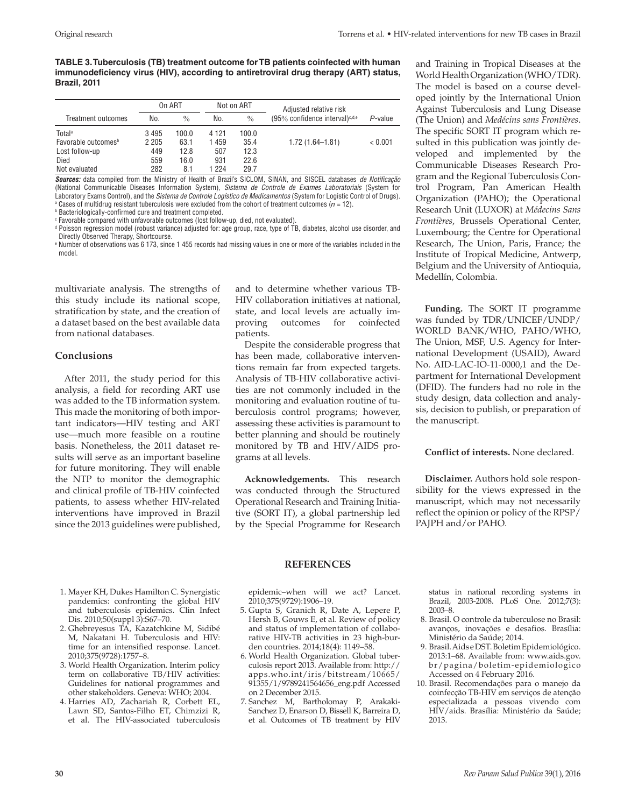**TABLE 3. Tuberculosis (TB) treatment outcome for TB patients coinfected with human immunodeficiency virus (HIV), according to antiretroviral drug therapy (ART) status, Brazil, 2011**

|                                 | On ART  |               |         | Not on ART    | Adjusted relative risk                     |            |
|---------------------------------|---------|---------------|---------|---------------|--------------------------------------------|------------|
| Treatment outcomes              | No.     | $\frac{0}{0}$ | No.     | $\frac{0}{0}$ | (95% confidence interval) <sup>c,d,e</sup> | $P$ -value |
| Totala                          | 3495    | 100.0         | 4 1 2 1 | 100.0         |                                            |            |
| Favorable outcomes <sup>b</sup> | 2 2 0 5 | 63.1          | 1 459   | 35.4          | $1.72(1.64 - 1.81)$                        | < 0.001    |
| Lost follow-up                  | 449     | 12.8          | 507     | 12.3          |                                            |            |
| Died                            | 559     | 16.0          | 931     | 22.6          |                                            |            |
| Not evaluated                   | 282     | 8.1           | 224     | 29.7          |                                            |            |

*Sources:* data compiled from the Ministry of Health of Brazil's SICLOM, SINAN, and SISCEL databases *de Notificação*  (National Communicable Diseases Information System)*, Sistema de Controle de Exames Laboratoriais* (System for Laboratory Exams Control), and the *Sistema de Controle Logístico de Medicamentos* (System for Logistic Control of Drugs). <sup>a</sup> Cases of multidrug resistant tuberculosis were excluded from the cohort of treatment outcomes ( $n = 12$ ).

b Bacteriologically-confirmed cure and treatment completed.

<sup>c</sup> Favorable compared with unfavorable outcomes (lost follow-up, died, not evaluated).

<sup>d</sup> Poisson regression model (robust variance) adjusted for: age group, race, type of TB, diabetes, alcohol use disorder, and Directly Observed Therapy, Shortcourse.

<sup>e</sup> Number of observations was 6 173, since 1 455 records had missing values in one or more of the variables included in the model.

multivariate analysis. The strengths of this study include its national scope, stratification by state, and the creation of a dataset based on the best available data from national databases.

#### **Conclusions**

After 2011, the study period for this analysis, a field for recording ART use was added to the TB information system. This made the monitoring of both important indicators—HIV testing and ART use—much more feasible on a routine basis. Nonetheless, the 2011 dataset results will serve as an important baseline for future monitoring. They will enable the NTP to monitor the demographic and clinical profile of TB-HIV coinfected patients, to assess whether HIV-related interventions have improved in Brazil since the 2013 guidelines were published,

and to determine whether various TB-HIV collaboration initiatives at national, state, and local levels are actually improving outcomes for coinfected patients.

Despite the considerable progress that has been made, collaborative interventions remain far from expected targets. Analysis of TB-HIV collaborative activities are not commonly included in the monitoring and evaluation routine of tuberculosis control programs; however, assessing these activities is paramount to better planning and should be routinely monitored by TB and HIV/AIDS programs at all levels.

**Acknowledgements.** This research was conducted through the Structured Operational Research and Training Initiative (SORT IT), a global partnership led by the Special Programme for Research

and Training in Tropical Diseases at the World Health Organization (WHO/TDR). The model is based on a course developed jointly by the International Union Against Tuberculosis and Lung Disease (The Union) and *Medécins sans Frontières*. The specific SORT IT program which resulted in this publication was jointly developed and implemented by the Communicable Diseases Research Program and the Regional Tuberculosis Control Program, Pan American Health Organization (PAHO); the Operational Research Unit (LUXOR) at *Médecins Sans Frontières*, Brussels Operational Center, Luxembourg; the Centre for Operational Research, The Union, Paris, France; the Institute of Tropical Medicine, Antwerp, Belgium and the University of Antioquia, Medellín, Colombia.

**Funding.** The SORT IT programme was funded by TDR/UNICEF/UNDP/ WORLD BANK/WHO, PAHO/WHO, The Union, MSF, U.S. Agency for International Development (USAID), Award No. AID-LAC-IO-11-0000,1 and the Department for International Development (DFID). The funders had no role in the study design, data collection and analysis, decision to publish, or preparation of the manuscript.

**Conflict of interests.** None declared.

**Disclaimer.** Authors hold sole responsibility for the views expressed in the manuscript, which may not necessarily reflect the opinion or policy of the RPSP/ PAJPH and/or PAHO.

- 1. Mayer KH, Dukes Hamilton C. Synergistic pandemics: confronting the global HIV and tuberculosis epidemics. Clin Infect Dis. 2010;50(suppl 3):S67–70.
- 2. Ghebreyesus TA, Kazatchkine M, Sidibé M, Nakatani H. Tuberculosis and HIV: time for an intensified response. Lancet. 2010;375(9728):1757–8.
- 3. World Health Organization. Interim policy term on collaborative TB/HIV activities: Guidelines for national programmes and other stakeholders. Geneva: WHO; 2004.
- 4. Harries AD, Zachariah R, Corbett EL, Lawn SD, Santos-Filho ET, Chimzizi R, et al. The HIV-associated tuberculosis

epidemic–when will we act? Lancet. 2010;375(9729):1906–19.

**REFERENCES**

- 5. Gupta S, Granich R, Date A, Lepere P, Hersh B, Gouws E, et al. Review of policy and status of implementation of collaborative HIV-TB activities in 23 high-burden countries. 2014;18(4): 1149–58.
- 6. World Health Organization. Global tuberculosis report 2013. Available from: [http://](http://apps.who.int/iris/bitstream/10665/ 91355/1/9789241564656_eng.pdf) [apps.who.int/iris/bitstream/10665/](http://apps.who.int/iris/bitstream/10665/ 91355/1/9789241564656_eng.pdf) 91355/1[/9789241564656\\_eng.pdf](http://apps.who.int/iris/bitstream/10665/ 91355/1/9789241564656_eng.pdf) Accessed on 2 December 2015.
- 7. Sanchez M, Bartholomay P, Arakaki-Sanchez D, Enarson D, Bissell K, Barreira D, et al. Outcomes of TB treatment by HIV

status in national recording systems in Brazil, 2003-2008. PLoS One. 2012;7(3): 2003–8.

- 8. Brasil. O controle da tuberculose no Brasil: avanços, inovações e desafios. Brasília: Ministério da Saúde; 2014.
- 9. Brasil. Aids e DST. Boletim Epidemiológico. 2013:1–68. Available from: [www.aids.gov.](www.aids.gov.br/pagina/boletim-epidemiologico) [br/pagina/boletim-epidemiologico](www.aids.gov.br/pagina/boletim-epidemiologico) Accessed on 4 February 2016.
- 10. Brasil. Recomendações para o manejo da coinfecção TB-HIV em serviços de atenção especializada a pessoas vivendo com HIV/aids. Brasília: Ministério da Saúde; 2013.